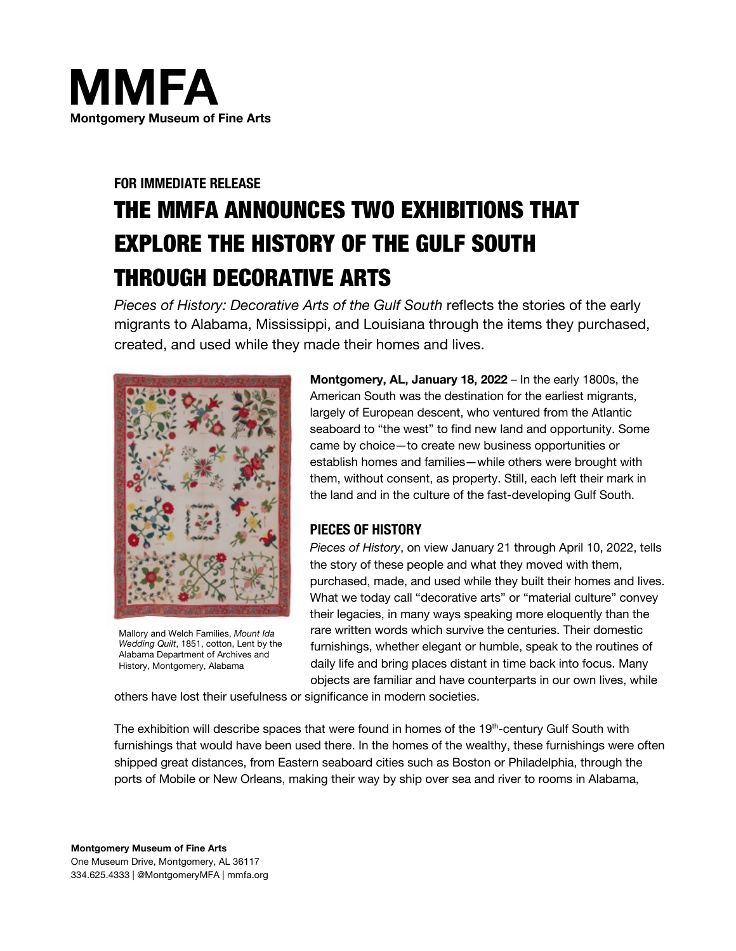

# **FOR IMMEDIATE RELEASE** THE MMFA ANNOUNCES TWO EXHIBITIONS THAT EXPLORE THE HISTORY OF THE GULF SOUTH THROUGH DECORATIVE ARTS

*Pieces of History: Decorative Arts of the Gulf South* reflects the stories of the early migrants to Alabama, Mississippi, and Louisiana through the items they purchased, created, and used while they made their homes and lives.



Mallory and Welch Families, *Mount Ida Wedding Quilt*, 1851, cotton, Lent by the Alabama Department of Archives and History, Montgomery, Alabama

**Montgomery, AL, January 18, 2022** – In the early 1800s, the American South was the destination for the earliest migrants, largely of European descent, who ventured from the Atlantic seaboard to "the west" to find new land and opportunity. Some came by choice—to create new business opportunities or establish homes and families—while others were brought with them, without consent, as property. Still, each left their mark in the land and in the culture of the fast-developing Gulf South.

## **PIECES OF HISTORY**

*Pieces of History*, on view January 21 through April 10, 2022, tells the story of these people and what they moved with them, purchased, made, and used while they built their homes and lives. What we today call "decorative arts" or "material culture" convey their legacies, in many ways speaking more eloquently than the rare written words which survive the centuries. Their domestic furnishings, whether elegant or humble, speak to the routines of daily life and bring places distant in time back into focus. Many objects are familiar and have counterparts in our own lives, while

others have lost their usefulness or significance in modern societies.

The exhibition will describe spaces that were found in homes of the 19<sup>th</sup>-century Gulf South with furnishings that would have been used there. In the homes of the wealthy, these furnishings were often shipped great distances, from Eastern seaboard cities such as Boston or Philadelphia, through the ports of Mobile or New Orleans, making their way by ship over sea and river to rooms in Alabama,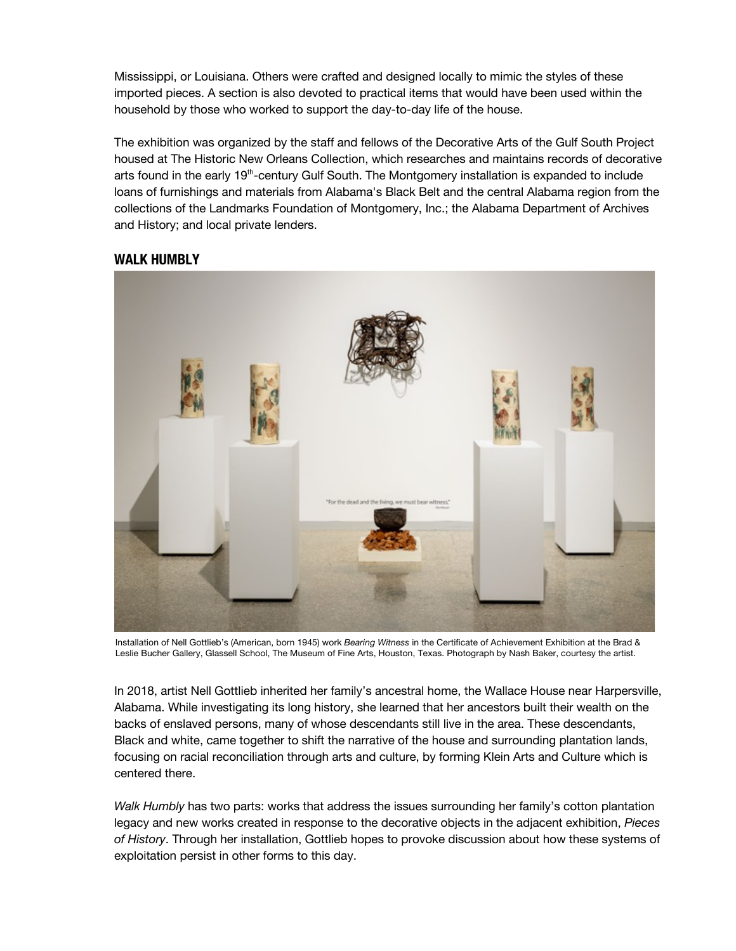Mississippi, or Louisiana. Others were crafted and designed locally to mimic the styles of these imported pieces. A section is also devoted to practical items that would have been used within the household by those who worked to support the day-to-day life of the house.

The exhibition was organized by the staff and fellows of the Decorative Arts of the Gulf South Project housed at The Historic New Orleans Collection, which researches and maintains records of decorative arts found in the early 19<sup>th</sup>-century Gulf South. The Montgomery installation is expanded to include loans of furnishings and materials from Alabama's Black Belt and the central Alabama region from the collections of the Landmarks Foundation of Montgomery, Inc.; the Alabama Department of Archives and History; and local private lenders.



## **WALK HUMBLY**

Installation of Nell Gottlieb's (American, born 1945) work *Bearing Witness* in the Certificate of Achievement Exhibition at the Brad & Leslie Bucher Gallery, Glassell School, The Museum of Fine Arts, Houston, Texas. Photograph by Nash Baker, courtesy the artist.

In 2018, artist Nell Gottlieb inherited her family's ancestral home, the Wallace House near Harpersville, Alabama. While investigating its long history, she learned that her ancestors built their wealth on the backs of enslaved persons, many of whose descendants still live in the area. These descendants, Black and white, came together to shift the narrative of the house and surrounding plantation lands, focusing on racial reconciliation through arts and culture, by forming Klein Arts and Culture which is centered there.

*Walk Humbly* has two parts: works that address the issues surrounding her family's cotton plantation legacy and new works created in response to the decorative objects in the adjacent exhibition, *Pieces of History*. Through her installation, Gottlieb hopes to provoke discussion about how these systems of exploitation persist in other forms to this day.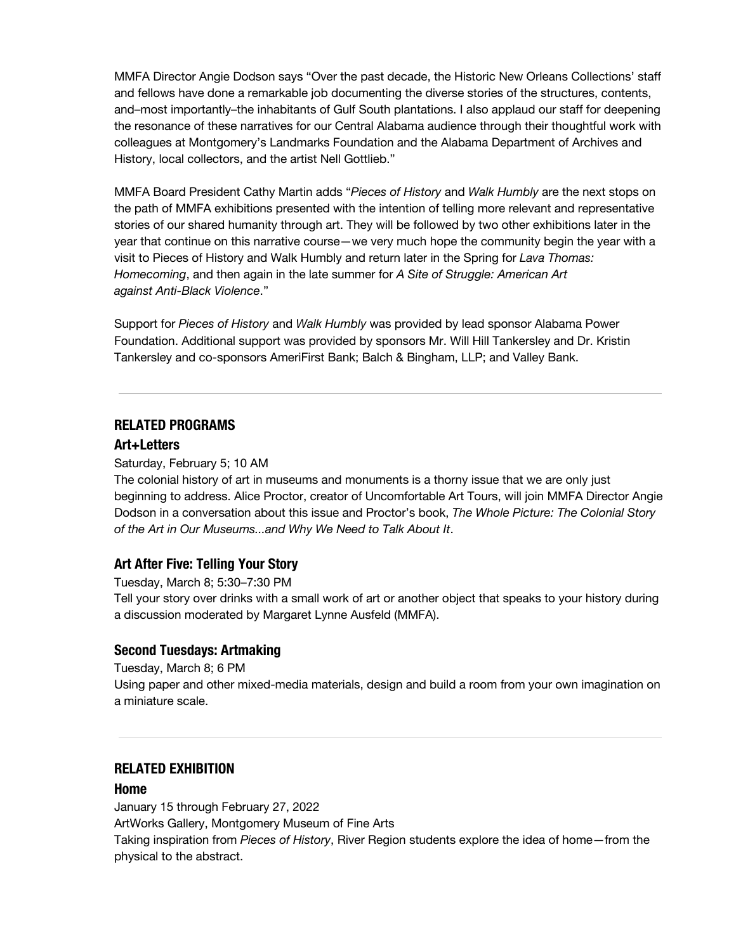MMFA Director Angie Dodson says "Over the past decade, the Historic New Orleans Collections' staff and fellows have done a remarkable job documenting the diverse stories of the structures, contents, and–most importantly–the inhabitants of Gulf South plantations. I also applaud our staff for deepening the resonance of these narratives for our Central Alabama audience through their thoughtful work with colleagues at Montgomery's Landmarks Foundation and the Alabama Department of Archives and History, local collectors, and the artist Nell Gottlieb."

MMFA Board President Cathy Martin adds "*Pieces of History* and *Walk Humbly* are the next stops on the path of MMFA exhibitions presented with the intention of telling more relevant and representative stories of our shared humanity through art. They will be followed by two other exhibitions later in the year that continue on this narrative course—we very much hope the community begin the year with a visit to Pieces of History and Walk Humbly and return later in the Spring for *Lava Thomas: Homecoming*, and then again in the late summer for *A Site of Struggle: American Art against Anti-Black Violence*."

Support for *Pieces of History* and *Walk Humbly* was provided by lead sponsor Alabama Power Foundation. Additional support was provided by sponsors Mr. Will Hill Tankersley and Dr. Kristin Tankersley and co-sponsors AmeriFirst Bank; Balch & Bingham, LLP; and Valley Bank.

## **RELATED PROGRAMS**

#### **Art+Letters**

#### Saturday, February 5; 10 AM

The colonial history of art in museums and monuments is a thorny issue that we are only just beginning to address. Alice Proctor, creator of Uncomfortable Art Tours, will join MMFA Director Angie Dodson in a conversation about this issue and Proctor's book, *The Whole Picture: The Colonial Story of the Art in Our Museums...and Why We Need to Talk About It*.

#### **Art After Five: Telling Your Story**

Tuesday, March 8; 5:30–7:30 PM

Tell your story over drinks with a small work of art or another object that speaks to your history during a discussion moderated by Margaret Lynne Ausfeld (MMFA).

### **Second Tuesdays: Artmaking**

Tuesday, March 8; 6 PM

Using paper and other mixed-media materials, design and build a room from your own imagination on a miniature scale.

### **RELATED EXHIBITION**

#### **Home**

January 15 through February 27, 2022 ArtWorks Gallery, Montgomery Museum of Fine Arts Taking inspiration from *Pieces of History*, River Region students explore the idea of home—from the physical to the abstract.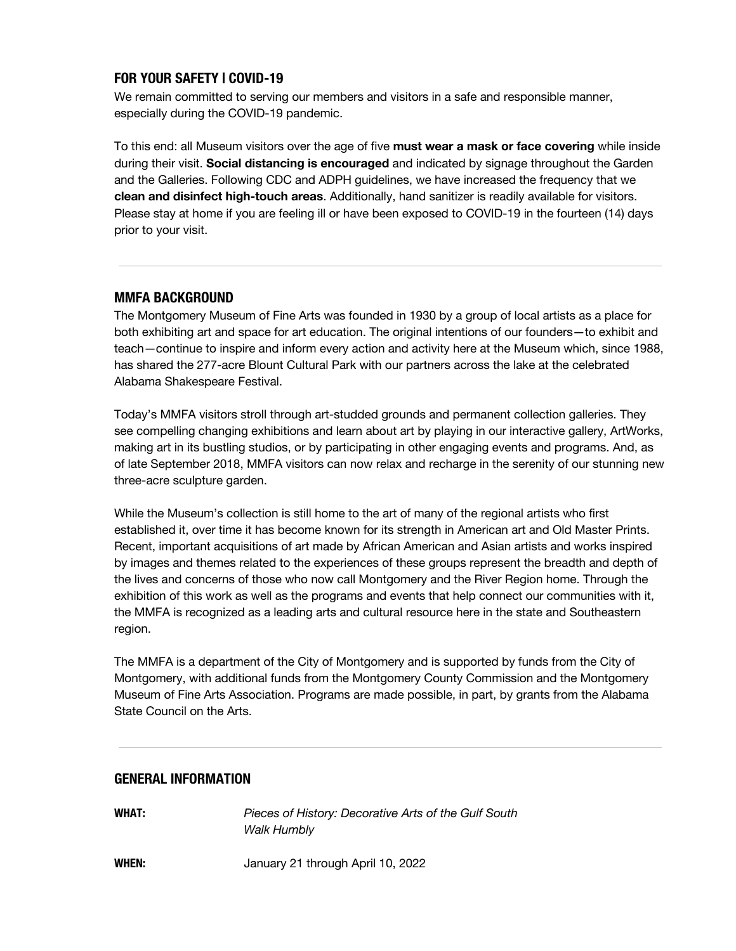## **FOR YOUR SAFETY | COVID-19**

We remain committed to serving our members and visitors in a safe and responsible manner, especially during the COVID-19 pandemic.

To this end: all Museum visitors over the age of five **must wear a mask or face covering** while inside during their visit. **Social distancing is encouraged** and indicated by signage throughout the Garden and the Galleries. Following CDC and ADPH guidelines, we have increased the frequency that we **clean and disinfect high-touch areas**. Additionally, hand sanitizer is readily available for visitors. Please stay at home if you are feeling ill or have been exposed to COVID-19 in the fourteen (14) days prior to your visit.

## **MMFA BACKGROUND**

The Montgomery Museum of Fine Arts was founded in 1930 by a group of local artists as a place for both exhibiting art and space for art education. The original intentions of our founders—to exhibit and teach—continue to inspire and inform every action and activity here at the Museum which, since 1988, has shared the 277-acre Blount Cultural Park with our partners across the lake at the celebrated Alabama Shakespeare Festival.

Today's MMFA visitors stroll through art-studded grounds and permanent collection galleries. They see compelling changing exhibitions and learn about art by playing in our interactive gallery, ArtWorks, making art in its bustling studios, or by participating in other engaging events and programs. And, as of late September 2018, MMFA visitors can now relax and recharge in the serenity of our stunning new three-acre sculpture garden.

While the Museum's collection is still home to the art of many of the regional artists who first established it, over time it has become known for its strength in American art and Old Master Prints. Recent, important acquisitions of art made by African American and Asian artists and works inspired by images and themes related to the experiences of these groups represent the breadth and depth of the lives and concerns of those who now call Montgomery and the River Region home. Through the exhibition of this work as well as the programs and events that help connect our communities with it, the MMFA is recognized as a leading arts and cultural resource here in the state and Southeastern region.

The MMFA is a department of the City of Montgomery and is supported by funds from the City of Montgomery, with additional funds from the Montgomery County Commission and the Montgomery Museum of Fine Arts Association. Programs are made possible, in part, by grants from the Alabama State Council on the Arts.

## **GENERAL INFORMATION**

**WHAT:** *Pieces of History: Decorative Arts of the Gulf South Walk Humbly*

**WHEN:** January 21 through April 10, 2022